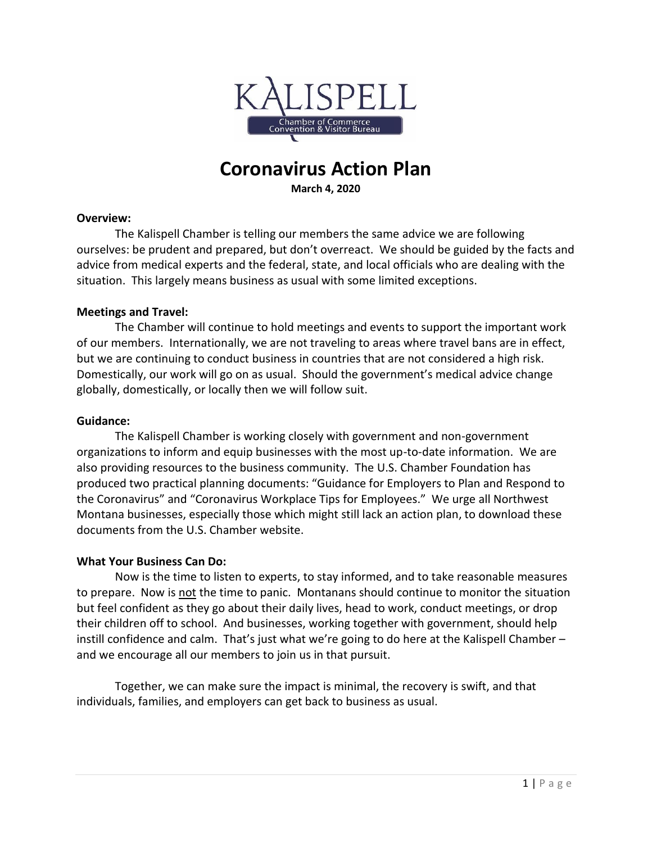

# **Coronavirus Action Plan**

**March 4, 2020**

#### **Overview:**

The Kalispell Chamber is telling our members the same advice we are following ourselves: be prudent and prepared, but don't overreact. We should be guided by the facts and advice from medical experts and the federal, state, and local officials who are dealing with the situation. This largely means business as usual with some limited exceptions.

#### **Meetings and Travel:**

The Chamber will continue to hold meetings and events to support the important work of our members. Internationally, we are not traveling to areas where travel bans are in effect, but we are continuing to conduct business in countries that are not considered a high risk. Domestically, our work will go on as usual. Should the government's medical advice change globally, domestically, or locally then we will follow suit.

### **Guidance:**

The Kalispell Chamber is working closely with government and non-government organizations to inform and equip businesses with the most up-to-date information. We are also providing resources to the business community. The U.S. Chamber Foundation has produced two practical planning documents: "Guidance for Employers to Plan and Respond to the Coronavirus" and "Coronavirus Workplace Tips for Employees." We urge all Northwest Montana businesses, especially those which might still lack an action plan, to download these documents from the U.S. Chamber website.

## **What Your Business Can Do:**

Now is the time to listen to experts, to stay informed, and to take reasonable measures to prepare. Now is not the time to panic. Montanans should continue to monitor the situation but feel confident as they go about their daily lives, head to work, conduct meetings, or drop their children off to school. And businesses, working together with government, should help instill confidence and calm. That's just what we're going to do here at the Kalispell Chamber – and we encourage all our members to join us in that pursuit.

Together, we can make sure the impact is minimal, the recovery is swift, and that individuals, families, and employers can get back to business as usual.